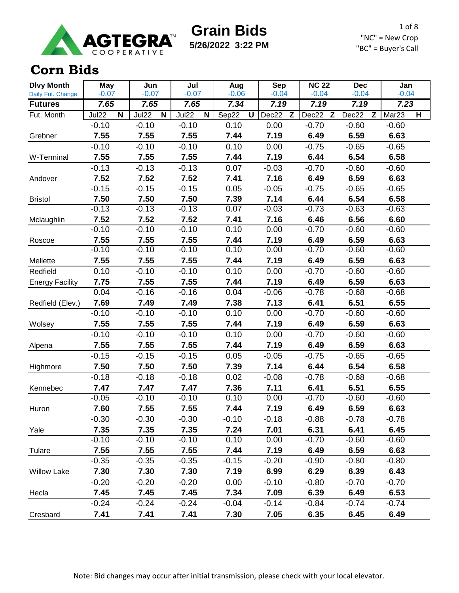

**5/26/2022 3:22 PM**

1 of 8 "NC" = New Crop "BC" = Buyer's Call

#### **Corn Bids**

| <b>Dlvy Month</b>      | <b>May</b>                                   | Jun                                          | Jul                    | Aug        | <b>Sep</b> | <b>NC 22</b> | <b>Dec</b> | Jan                                          |
|------------------------|----------------------------------------------|----------------------------------------------|------------------------|------------|------------|--------------|------------|----------------------------------------------|
| Daily Fut. Change      | $-0.07$                                      | $-0.07$                                      | $-0.07$                | $-0.06$    | $-0.04$    | $-0.04$      | $-0.04$    | $-0.04$                                      |
| <b>Futures</b>         | 7.65                                         | 7.65                                         | 7.65                   | 7.34       | 7.19       | 7.19         | 7.19       | 7.23                                         |
| Fut. Month             | Jul <sub>22</sub><br>$\overline{\mathsf{N}}$ | Jul <sub>22</sub><br>$\overline{\mathsf{N}}$ | Jul <sub>22</sub><br>N | Sep22<br>U | Dec22<br>Z | Dec22<br>Z   | Dec22<br>Z | Mar <sub>23</sub><br>$\overline{\mathbf{H}}$ |
|                        | $-0.10$                                      | $-0.10$                                      | $-0.10$                | 0.10       | 0.00       | $-0.70$      | $-0.60$    | $-0.60$                                      |
| Grebner                | 7.55                                         | 7.55                                         | 7.55                   | 7.44       | 7.19       | 6.49         | 6.59       | 6.63                                         |
|                        | $-0.10$                                      | $-0.10$                                      | $-0.10$                | 0.10       | 0.00       | $-0.75$      | $-0.65$    | $-0.65$                                      |
| W-Terminal             | 7.55                                         | 7.55                                         | 7.55                   | 7.44       | 7.19       | 6.44         | 6.54       | 6.58                                         |
|                        | $-0.13$                                      | $-0.13$                                      | $-0.13$                | 0.07       | $-0.03$    | $-0.70$      | $-0.60$    | $-0.60$                                      |
| Andover                | 7.52                                         | 7.52                                         | 7.52                   | 7.41       | 7.16       | 6.49         | 6.59       | 6.63                                         |
|                        | $-0.15$                                      | $-0.15$                                      | $-0.15$                | 0.05       | $-0.05$    | $-0.75$      | $-0.65$    | $-0.65$                                      |
| <b>Bristol</b>         | 7.50                                         | 7.50                                         | 7.50                   | 7.39       | 7.14       | 6.44         | 6.54       | 6.58                                         |
|                        | $-0.13$                                      | $-0.13$                                      | $-0.13$                | 0.07       | $-0.03$    | $-0.73$      | $-0.63$    | $-0.63$                                      |
| Mclaughlin             | 7.52                                         | 7.52                                         | 7.52                   | 7.41       | 7.16       | 6.46         | 6.56       | 6.60                                         |
|                        | $-0.10$                                      | $-0.10$                                      | $-0.10$                | 0.10       | 0.00       | $-0.70$      | $-0.60$    | $-0.60$                                      |
| Roscoe                 | 7.55                                         | 7.55                                         | 7.55                   | 7.44       | 7.19       | 6.49         | 6.59       | 6.63                                         |
|                        | $-0.10$                                      | $-0.10$                                      | $-0.10$                | 0.10       | 0.00       | $-0.70$      | $-0.60$    | $-0.60$                                      |
| Mellette               | 7.55                                         | 7.55                                         | 7.55                   | 7.44       | 7.19       | 6.49         | 6.59       | 6.63                                         |
| Redfield               | 0.10                                         | $-0.10$                                      | $-0.10$                | 0.10       | 0.00       | $-0.70$      | $-0.60$    | $-0.60$                                      |
| <b>Energy Facility</b> | 7.75                                         | 7.55                                         | 7.55                   | 7.44       | 7.19       | 6.49         | 6.59       | 6.63                                         |
|                        | 0.04                                         | $-0.16$                                      | $-0.16$                | 0.04       | $-0.06$    | $-0.78$      | $-0.68$    | $-0.68$                                      |
| Redfield (Elev.)       | 7.69                                         | 7.49                                         | 7.49                   | 7.38       | 7.13       | 6.41         | 6.51       | 6.55                                         |
|                        | $-0.10$                                      | $-0.10$                                      | $-0.10$                | 0.10       | 0.00       | $-0.70$      | $-0.60$    | $-0.60$                                      |
| Wolsey                 | 7.55                                         | 7.55                                         | 7.55                   | 7.44       | 7.19       | 6.49         | 6.59       | 6.63                                         |
|                        | $-0.10$                                      | $-0.10$                                      | $-0.10$                | 0.10       | 0.00       | $-0.70$      | $-0.60$    | $-0.60$                                      |
| Alpena                 | 7.55                                         | 7.55                                         | 7.55                   | 7.44       | 7.19       | 6.49         | 6.59       | 6.63                                         |
|                        | $-0.15$                                      | $-0.15$                                      | $-0.15$                | 0.05       | $-0.05$    | $-0.75$      | $-0.65$    | $-0.65$                                      |
| Highmore               | 7.50                                         | 7.50                                         | 7.50                   | 7.39       | 7.14       | 6.44         | 6.54       | 6.58                                         |
|                        | $-0.18$                                      | $-0.18$                                      | $-0.18$                | 0.02       | $-0.08$    | $-0.78$      | $-0.68$    | $-0.68$                                      |
| Kennebec               | 7.47                                         | 7.47                                         | 7.47                   | 7.36       | 7.11       | 6.41         | 6.51       | 6.55                                         |
|                        | $-0.05$                                      | $-0.10$                                      | $-0.10$                | 0.10       | 0.00       | $-0.70$      | $-0.60$    | $-0.60$                                      |
| Huron                  | 7.60                                         | 7.55                                         | 7.55                   | 7.44       | 7.19       | 6.49         | 6.59       | 6.63                                         |
|                        | $-0.30$                                      | $-0.30$                                      | $-0.30$                | $-0.10$    | $-0.18$    | $-0.88$      | $-0.78$    | $-0.78$                                      |
| Yale                   | 7.35                                         | 7.35                                         | 7.35                   | 7.24       | 7.01       | 6.31         | 6.41       | 6.45                                         |
|                        | $-0.10$                                      | $-0.10$                                      | $-0.10$                | 0.10       | 0.00       | $-0.70$      | $-0.60$    | $-0.60$                                      |
| Tulare                 | 7.55                                         | 7.55                                         | 7.55                   | 7.44       | 7.19       | 6.49         | 6.59       | 6.63                                         |
|                        | $-0.35$                                      | $-0.35$                                      | $-0.35$                | $-0.15$    | $-0.20$    | $-0.90$      | $-0.80$    | $-0.80$                                      |
| <b>Willow Lake</b>     | 7.30                                         | 7.30                                         | 7.30                   | 7.19       | 6.99       | 6.29         | 6.39       | 6.43                                         |
|                        | $-0.20$                                      | $-0.20$                                      | $-0.20$                | 0.00       | $-0.10$    | $-0.80$      | $-0.70$    | $-0.70$                                      |
| Hecla                  | 7.45                                         | 7.45                                         | 7.45                   | 7.34       | 7.09       | 6.39         | 6.49       | 6.53                                         |
|                        | $-0.24$                                      | $-0.24$                                      | $-0.24$                | $-0.04$    | $-0.14$    | $-0.84$      | $-0.74$    | $-0.74$                                      |
| Cresbard               | 7.41                                         | 7.41                                         | 7.41                   | 7.30       | 7.05       | 6.35         | 6.45       | 6.49                                         |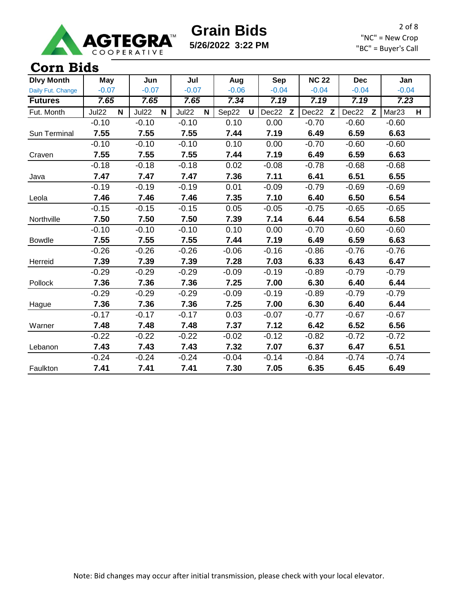

**5/26/2022 3:22 PM**

2 of 8 "NC" = New Crop "BC" = Buyer's Call

| <b>Dlvy Month</b> | <b>May</b>            | Jun                  | Jul        | Aug                   | <b>Sep</b> | <b>NC 22</b> | <b>Dec</b> | Jan                    |
|-------------------|-----------------------|----------------------|------------|-----------------------|------------|--------------|------------|------------------------|
| Daily Fut. Change | $-0.07$               | $-0.07$              | $-0.07$    | $-0.06$               | $-0.04$    | $-0.04$      | $-0.04$    | $-0.04$                |
| <b>Futures</b>    | 7.65                  | 7.65                 | 7.65       | 7.34                  | 7.19       | 7.19         | 7.19       | 7.23                   |
| Fut. Month        | Jul22<br>$\mathsf{N}$ | Jul22<br>$\mathbf N$ | Jul22<br>N | Sep22<br>$\mathsf{U}$ | Dec22<br>Z | Dec22 Z      | Dec22<br>Z | Mar <sub>23</sub><br>H |
|                   | $-0.10$               | $-0.10$              | $-0.10$    | 0.10                  | 0.00       | $-0.70$      | $-0.60$    | $-0.60$                |
| Sun Terminal      | 7.55                  | 7.55                 | 7.55       | 7.44                  | 7.19       | 6.49         | 6.59       | 6.63                   |
|                   | $-0.10$               | $-0.10$              | $-0.10$    | 0.10                  | 0.00       | $-0.70$      | $-0.60$    | $-0.60$                |
| Craven            | 7.55                  | 7.55                 | 7.55       | 7.44                  | 7.19       | 6.49         | 6.59       | 6.63                   |
|                   | $-0.18$               | $-0.18$              | $-0.18$    | 0.02                  | $-0.08$    | $-0.78$      | $-0.68$    | $-0.68$                |
| Java              | 7.47                  | 7.47                 | 7.47       | 7.36                  | 7.11       | 6.41         | 6.51       | 6.55                   |
|                   | $-0.19$               | $-0.19$              | $-0.19$    | 0.01                  | $-0.09$    | $-0.79$      | $-0.69$    | $-0.69$                |
| Leola             | 7.46                  | 7.46                 | 7.46       | 7.35                  | 7.10       | 6.40         | 6.50       | 6.54                   |
|                   | $-0.15$               | $-0.15$              | $-0.15$    | 0.05                  | $-0.05$    | $-0.75$      | $-0.65$    | $-0.65$                |
| Northville        | 7.50                  | 7.50                 | 7.50       | 7.39                  | 7.14       | 6.44         | 6.54       | 6.58                   |
|                   | $-0.10$               | $-0.10$              | $-0.10$    | 0.10                  | 0.00       | $-0.70$      | $-0.60$    | $-0.60$                |
| <b>Bowdle</b>     | 7.55                  | 7.55                 | 7.55       | 7.44                  | 7.19       | 6.49         | 6.59       | 6.63                   |
|                   | $-0.26$               | $-0.26$              | $-0.26$    | $-0.06$               | $-0.16$    | $-0.86$      | $-0.76$    | $-0.76$                |
| Herreid           | 7.39                  | 7.39                 | 7.39       | 7.28                  | 7.03       | 6.33         | 6.43       | 6.47                   |
|                   | $-0.29$               | $-0.29$              | $-0.29$    | $-0.09$               | $-0.19$    | $-0.89$      | $-0.79$    | $-0.79$                |
| Pollock           | 7.36                  | 7.36                 | 7.36       | 7.25                  | 7.00       | 6.30         | 6.40       | 6.44                   |
|                   | $-0.29$               | $-0.29$              | $-0.29$    | $-0.09$               | $-0.19$    | $-0.89$      | $-0.79$    | $-0.79$                |
| Hague             | 7.36                  | 7.36                 | 7.36       | 7.25                  | 7.00       | 6.30         | 6.40       | 6.44                   |
|                   | $-0.17$               | $-0.17$              | $-0.17$    | 0.03                  | $-0.07$    | $-0.77$      | $-0.67$    | $-0.67$                |
| Warner            | 7.48                  | 7.48                 | 7.48       | 7.37                  | 7.12       | 6.42         | 6.52       | 6.56                   |
|                   | $-0.22$               | $-0.22$              | $-0.22$    | $-0.02$               | $-0.12$    | $-0.82$      | $-0.72$    | $-0.72$                |
| Lebanon           | 7.43                  | 7.43                 | 7.43       | 7.32                  | 7.07       | 6.37         | 6.47       | 6.51                   |
|                   | $-0.24$               | $-0.24$              | $-0.24$    | $-0.04$               | $-0.14$    | $-0.84$      | $-0.74$    | $-0.74$                |
| Faulkton          | 7.41                  | 7.41                 | 7.41       | 7.30                  | 7.05       | 6.35         | 6.45       | 6.49                   |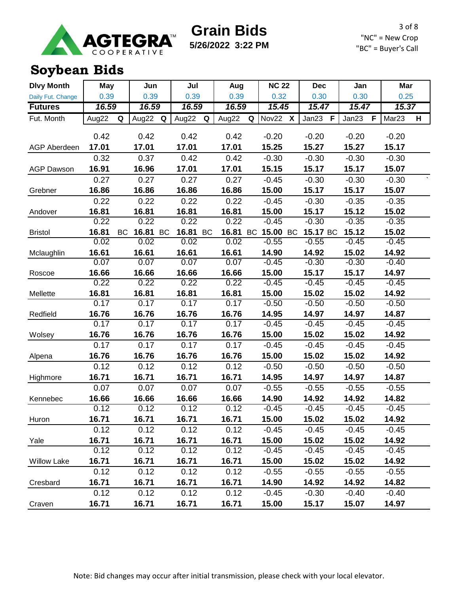

**5/26/2022 3:22 PM**

3 of 8 "NC" = New Crop "BC" = Buyer's Call

## **Soybean Bids**

| <b>Dlvy Month</b>   | <b>May</b> |           | Jun   |           | Jul   |    | Aug   |   | <b>NC 22</b> |                           | <b>Dec</b> | Jan        | Mar               |   |
|---------------------|------------|-----------|-------|-----------|-------|----|-------|---|--------------|---------------------------|------------|------------|-------------------|---|
| Daily Fut. Change   | 0.39       |           | 0.39  |           | 0.39  |    | 0.39  |   | 0.32         |                           | 0.30       | 0.30       | 0.25              |   |
| <b>Futures</b>      | 16.59      |           | 16.59 |           | 16.59 |    | 16.59 |   | 15.45        |                           | 15.47      | 15.47      | 15.37             |   |
| Fut. Month          | Aug22      | Q         | Aug22 | Q         | Aug22 | Q  | Aug22 | Q | Nov22        | $\boldsymbol{\mathsf{X}}$ | Jan23<br>F | Jan23<br>F | Mar <sub>23</sub> | H |
|                     |            |           |       |           |       |    |       |   |              |                           |            |            |                   |   |
|                     | 0.42       |           | 0.42  |           | 0.42  |    | 0.42  |   | $-0.20$      |                           | $-0.20$    | $-0.20$    | $-0.20$           |   |
| <b>AGP Aberdeen</b> | 17.01      |           | 17.01 |           | 17.01 |    | 17.01 |   | 15.25        |                           | 15.27      | 15.27      | 15.17             |   |
|                     | 0.32       |           | 0.37  |           | 0.42  |    | 0.42  |   | $-0.30$      |                           | $-0.30$    | $-0.30$    | $-0.30$           |   |
| <b>AGP Dawson</b>   | 16.91      |           | 16.96 |           | 17.01 |    | 17.01 |   | 15.15        |                           | 15.17      | 15.17      | 15.07             |   |
|                     | 0.27       |           | 0.27  |           | 0.27  |    | 0.27  |   | $-0.45$      |                           | $-0.30$    | $-0.30$    | $-0.30$           |   |
| Grebner             | 16.86      |           | 16.86 |           | 16.86 |    | 16.86 |   | 15.00        |                           | 15.17      | 15.17      | 15.07             |   |
|                     | 0.22       |           | 0.22  |           | 0.22  |    | 0.22  |   | $-0.45$      |                           | $-0.30$    | $-0.35$    | $-0.35$           |   |
| Andover             | 16.81      |           | 16.81 |           | 16.81 |    | 16.81 |   | 15.00        |                           | 15.17      | 15.12      | 15.02             |   |
|                     | 0.22       |           | 0.22  |           | 0.22  |    | 0.22  |   | $-0.45$      |                           | $-0.30$    | $-0.35$    | $-0.35$           |   |
| <b>Bristol</b>      | 16.81      | <b>BC</b> | 16.81 | <b>BC</b> | 16.81 | BC | 16.81 |   | BC 15.00 BC  |                           | 15.17 BC   | 15.12      | 15.02             |   |
|                     | 0.02       |           | 0.02  |           | 0.02  |    | 0.02  |   | $-0.55$      |                           | $-0.55$    | $-0.45$    | $-0.45$           |   |
| Mclaughlin          | 16.61      |           | 16.61 |           | 16.61 |    | 16.61 |   | 14.90        |                           | 14.92      | 15.02      | 14.92             |   |
|                     | 0.07       |           | 0.07  |           | 0.07  |    | 0.07  |   | $-0.45$      |                           | $-0.30$    | $-0.30$    | $-0.40$           |   |
| Roscoe              | 16.66      |           | 16.66 |           | 16.66 |    | 16.66 |   | 15.00        |                           | 15.17      | 15.17      | 14.97             |   |
|                     | 0.22       |           | 0.22  |           | 0.22  |    | 0.22  |   | $-0.45$      |                           | $-0.45$    | $-0.45$    | $-0.45$           |   |
| Mellette            | 16.81      |           | 16.81 |           | 16.81 |    | 16.81 |   | 15.00        |                           | 15.02      | 15.02      | 14.92             |   |
|                     | 0.17       |           | 0.17  |           | 0.17  |    | 0.17  |   | $-0.50$      |                           | $-0.50$    | $-0.50$    | $-0.50$           |   |
| Redfield            | 16.76      |           | 16.76 |           | 16.76 |    | 16.76 |   | 14.95        |                           | 14.97      | 14.97      | 14.87             |   |
|                     | 0.17       |           | 0.17  |           | 0.17  |    | 0.17  |   | $-0.45$      |                           | $-0.45$    | $-0.45$    | $-0.45$           |   |
| Wolsey              | 16.76      |           | 16.76 |           | 16.76 |    | 16.76 |   | 15.00        |                           | 15.02      | 15.02      | 14.92             |   |
|                     | 0.17       |           | 0.17  |           | 0.17  |    | 0.17  |   | $-0.45$      |                           | $-0.45$    | $-0.45$    | $-0.45$           |   |
| Alpena              | 16.76      |           | 16.76 |           | 16.76 |    | 16.76 |   | 15.00        |                           | 15.02      | 15.02      | 14.92             |   |
|                     | 0.12       |           | 0.12  |           | 0.12  |    | 0.12  |   | $-0.50$      |                           | $-0.50$    | $-0.50$    | $-0.50$           |   |
| Highmore            | 16.71      |           | 16.71 |           | 16.71 |    | 16.71 |   | 14.95        |                           | 14.97      | 14.97      | 14.87             |   |
|                     | 0.07       |           | 0.07  |           | 0.07  |    | 0.07  |   | $-0.55$      |                           | $-0.55$    | $-0.55$    | $-0.55$           |   |
| Kennebec            | 16.66      |           | 16.66 |           | 16.66 |    | 16.66 |   | 14.90        |                           | 14.92      | 14.92      | 14.82             |   |
|                     | 0.12       |           | 0.12  |           | 0.12  |    | 0.12  |   | $-0.45$      |                           | $-0.45$    | $-0.45$    | $-0.45$           |   |
| Huron               | 16.71      |           | 16.71 |           | 16.71 |    | 16.71 |   | 15.00        |                           | 15.02      | 15.02      | 14.92             |   |
|                     | 0.12       |           | 0.12  |           | 0.12  |    | 0.12  |   | $-0.45$      |                           | $-0.45$    | $-0.45$    | $-0.45$           |   |
| Yale                | 16.71      |           | 16.71 |           | 16.71 |    | 16.71 |   | 15.00        |                           | 15.02      | 15.02      | 14.92             |   |
|                     | 0.12       |           | 0.12  |           | 0.12  |    | 0.12  |   | $-0.45$      |                           | $-0.45$    | $-0.45$    | $-0.45$           |   |
| <b>Willow Lake</b>  | 16.71      |           | 16.71 |           | 16.71 |    | 16.71 |   | 15.00        |                           | 15.02      | 15.02      | 14.92             |   |
|                     | 0.12       |           | 0.12  |           | 0.12  |    | 0.12  |   | $-0.55$      |                           | $-0.55$    | $-0.55$    | $-0.55$           |   |
| Cresbard            | 16.71      |           | 16.71 |           | 16.71 |    | 16.71 |   | 14.90        |                           | 14.92      | 14.92      | 14.82             |   |
|                     | 0.12       |           | 0.12  |           | 0.12  |    | 0.12  |   | $-0.45$      |                           | $-0.30$    | $-0.40$    | $-0.40$           |   |
| Craven              | 16.71      |           | 16.71 |           | 16.71 |    | 16.71 |   | 15.00        |                           | 15.17      | 15.07      | 14.97             |   |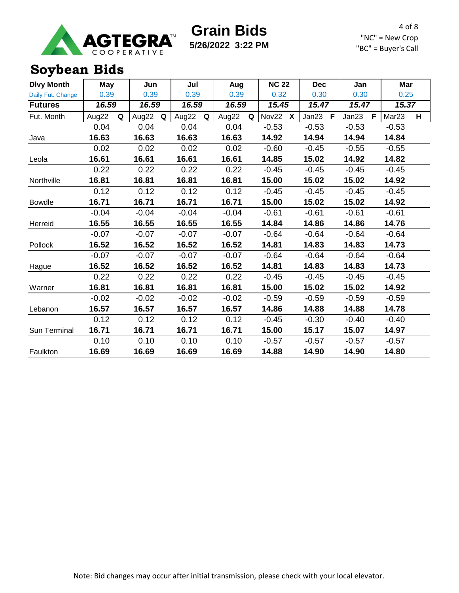

**5/26/2022 3:22 PM**

4 of 8 "NC" = New Crop "BC" = Buyer's Call

## **Soybean Bids**

| <b>Dlvy Month</b> | May        | Jun        | Jul        | Aug        | <b>NC 22</b>              | <b>Dec</b> | Jan        | Mar                    |
|-------------------|------------|------------|------------|------------|---------------------------|------------|------------|------------------------|
| Daily Fut. Change | 0.39       | 0.39       | 0.39       | 0.39       | 0.32                      | 0.30       | 0.30       | 0.25                   |
| <b>Futures</b>    | 16.59      | 16.59      | 16.59      | 16.59      | 15.45                     | 15.47      | 15.47      | 15.37                  |
| Fut. Month        | Aug22<br>Q | Aug22<br>Q | Aug22<br>Q | Aug22<br>Q | Nov22<br>$\boldsymbol{X}$ | Jan23<br>F | Jan23<br>F | Mar <sub>23</sub><br>H |
|                   | 0.04       | 0.04       | 0.04       | 0.04       | $-0.53$                   | $-0.53$    | $-0.53$    | $-0.53$                |
| Java              | 16.63      | 16.63      | 16.63      | 16.63      | 14.92                     | 14.94      | 14.94      | 14.84                  |
|                   | 0.02       | 0.02       | 0.02       | 0.02       | $-0.60$                   | $-0.45$    | $-0.55$    | $-0.55$                |
| Leola             | 16.61      | 16.61      | 16.61      | 16.61      | 14.85                     | 15.02      | 14.92      | 14.82                  |
|                   | 0.22       | 0.22       | 0.22       | 0.22       | $-0.45$                   | $-0.45$    | $-0.45$    | $-0.45$                |
| Northville        | 16.81      | 16.81      | 16.81      | 16.81      | 15.00                     | 15.02      | 15.02      | 14.92                  |
|                   | 0.12       | 0.12       | 0.12       | 0.12       | $-0.45$                   | $-0.45$    | $-0.45$    | $-0.45$                |
| <b>Bowdle</b>     | 16.71      | 16.71      | 16.71      | 16.71      | 15.00                     | 15.02      | 15.02      | 14.92                  |
|                   | $-0.04$    | $-0.04$    | $-0.04$    | $-0.04$    | $-0.61$                   | $-0.61$    | $-0.61$    | $-0.61$                |
| Herreid           | 16.55      | 16.55      | 16.55      | 16.55      | 14.84                     | 14.86      | 14.86      | 14.76                  |
|                   | $-0.07$    | $-0.07$    | $-0.07$    | $-0.07$    | $-0.64$                   | $-0.64$    | $-0.64$    | $-0.64$                |
| Pollock           | 16.52      | 16.52      | 16.52      | 16.52      | 14.81                     | 14.83      | 14.83      | 14.73                  |
|                   | $-0.07$    | $-0.07$    | $-0.07$    | $-0.07$    | $-0.64$                   | $-0.64$    | $-0.64$    | $-0.64$                |
| Hague             | 16.52      | 16.52      | 16.52      | 16.52      | 14.81                     | 14.83      | 14.83      | 14.73                  |
|                   | 0.22       | 0.22       | 0.22       | 0.22       | $-0.45$                   | $-0.45$    | $-0.45$    | $-0.45$                |
| Warner            | 16.81      | 16.81      | 16.81      | 16.81      | 15.00                     | 15.02      | 15.02      | 14.92                  |
|                   | $-0.02$    | $-0.02$    | $-0.02$    | $-0.02$    | $-0.59$                   | $-0.59$    | $-0.59$    | $-0.59$                |
| Lebanon           | 16.57      | 16.57      | 16.57      | 16.57      | 14.86                     | 14.88      | 14.88      | 14.78                  |
|                   | 0.12       | 0.12       | 0.12       | 0.12       | $-0.45$                   | $-0.30$    | $-0.40$    | $-0.40$                |
| Sun Terminal      | 16.71      | 16.71      | 16.71      | 16.71      | 15.00                     | 15.17      | 15.07      | 14.97                  |
|                   | 0.10       | 0.10       | 0.10       | 0.10       | $-0.57$                   | $-0.57$    | $-0.57$    | $-0.57$                |
| Faulkton          | 16.69      | 16.69      | 16.69      | 16.69      | 14.88                     | 14.90      | 14.90      | 14.80                  |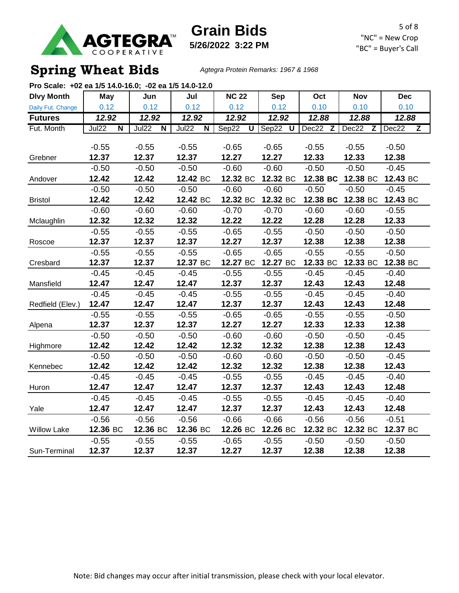

**Grain Bids 5/26/2022 3:22 PM**

5 of 8 "NC" = New Crop "BC" = Buyer's Call

## **Spring Wheat Bids** *Agtegra Protein Remarks: 1967 & 1968*

| Pro Scale: +02 ea 1/5 14.0-16.0; -02 ea 1/5 14.0-12.0 |                                  |                                  |                                  |                                  |          |          |            |            |
|-------------------------------------------------------|----------------------------------|----------------------------------|----------------------------------|----------------------------------|----------|----------|------------|------------|
| <b>Dlvy Month</b>                                     | May                              | Jun                              | Jul                              | <b>NC 22</b>                     | Sep      | Oct      | <b>Nov</b> | <b>Dec</b> |
| Daily Fut. Change                                     | 0.12                             | 0.12                             | 0.12                             | 0.12                             | 0.12     | 0.10     | 0.10       | 0.10       |
| <b>Futures</b>                                        | 12.92                            | 12.92                            | 12.92                            | 12.92                            | 12.92    | 12.88    | 12.88      | 12.88      |
| Fut. Month                                            | Jul22<br>$\overline{\mathsf{N}}$ | Jul22<br>$\overline{\mathsf{N}}$ | Jul22<br>$\overline{\mathsf{N}}$ | Sep22<br>$\overline{\mathsf{U}}$ | Sep22 U  | Dec22 Z  | Dec22<br>Z | Dec22<br>Z |
|                                                       |                                  |                                  |                                  |                                  |          |          |            |            |
|                                                       | $-0.55$                          | $-0.55$                          | $-0.55$                          | $-0.65$                          | $-0.65$  | $-0.55$  | $-0.55$    | $-0.50$    |
| Grebner                                               | 12.37                            | 12.37                            | 12.37                            | 12.27                            | 12.27    | 12.33    | 12.33      | 12.38      |
|                                                       | $-0.50$                          | $-0.50$                          | $-0.50$                          | $-0.60$                          | $-0.60$  | $-0.50$  | $-0.50$    | $-0.45$    |
| Andover                                               | 12.42                            | 12.42                            | 12.42 BC                         | 12.32 BC                         | 12.32 BC | 12.38 BC | 12.38 BC   | 12.43 BC   |
|                                                       | $-0.50$                          | $-0.50$                          | $-0.50$                          | $-0.60$                          | $-0.60$  | $-0.50$  | $-0.50$    | $-0.45$    |
| <b>Bristol</b>                                        | 12.42                            | 12.42                            | 12.42 BC                         | 12.32 BC                         | 12.32 BC | 12.38 BC | 12.38 BC   | 12.43 BC   |
|                                                       | $-0.60$                          | $-0.60$                          | $-0.60$                          | $-0.70$                          | $-0.70$  | $-0.60$  | $-0.60$    | $-0.55$    |
| Mclaughlin                                            | 12.32                            | 12.32                            | 12.32                            | 12.22                            | 12.22    | 12.28    | 12.28      | 12.33      |
|                                                       | $-0.55$                          | $-0.55$                          | $-0.55$                          | $-0.65$                          | $-0.55$  | $-0.50$  | $-0.50$    | $-0.50$    |
| Roscoe                                                | 12.37                            | 12.37                            | 12.37                            | 12.27                            | 12.37    | 12.38    | 12.38      | 12.38      |
|                                                       | $-0.55$                          | $-0.55$                          | $-0.55$                          | $-0.65$                          | $-0.65$  | $-0.55$  | $-0.55$    | $-0.50$    |
| Cresbard                                              | 12.37                            | 12.37                            | 12.37 BC                         | 12.27 BC                         | 12.27 BC | 12.33 BC | 12.33 BC   | 12.38 BC   |
|                                                       | $-0.45$                          | $-0.45$                          | $-0.45$                          | $-0.55$                          | $-0.55$  | $-0.45$  | $-0.45$    | $-0.40$    |
| Mansfield                                             | 12.47                            | 12.47                            | 12.47                            | 12.37                            | 12.37    | 12.43    | 12.43      | 12.48      |
|                                                       | $-0.45$                          | $-0.45$                          | $-0.45$                          | $-0.55$                          | $-0.55$  | $-0.45$  | $-0.45$    | $-0.40$    |
| Redfield (Elev.)                                      | 12.47                            | 12.47                            | 12.47                            | 12.37                            | 12.37    | 12.43    | 12.43      | 12.48      |
|                                                       | $-0.55$                          | $-0.55$                          | $-0.55$                          | $-0.65$                          | $-0.65$  | $-0.55$  | $-0.55$    | $-0.50$    |
| Alpena                                                | 12.37                            | 12.37                            | 12.37                            | 12.27                            | 12.27    | 12.33    | 12.33      | 12.38      |
|                                                       | $-0.50$                          | $-0.50$                          | $-0.50$                          | $-0.60$                          | $-0.60$  | $-0.50$  | $-0.50$    | $-0.45$    |
| Highmore                                              | 12.42                            | 12.42                            | 12.42                            | 12.32                            | 12.32    | 12.38    | 12.38      | 12.43      |
|                                                       | $-0.50$                          | $-0.50$                          | $-0.50$                          | $-0.60$                          | $-0.60$  | $-0.50$  | $-0.50$    | $-0.45$    |
| Kennebec                                              | 12.42                            | 12.42                            | 12.42                            | 12.32                            | 12.32    | 12.38    | 12.38      | 12.43      |
|                                                       | $-0.45$                          | $-0.45$                          | $-0.45$                          | $-0.55$                          | $-0.55$  | $-0.45$  | $-0.45$    | $-0.40$    |
| Huron                                                 | 12.47                            | 12.47                            | 12.47                            | 12.37                            | 12.37    | 12.43    | 12.43      | 12.48      |
|                                                       | $-0.45$                          | $-0.45$                          | $-0.45$                          | $-0.55$                          | $-0.55$  | $-0.45$  | $-0.45$    | $-0.40$    |
| Yale                                                  | 12.47                            | 12.47                            | 12.47                            | 12.37                            | 12.37    | 12.43    | 12.43      | 12.48      |
|                                                       | $-0.56$                          | $-0.56$                          | $-0.56$                          | $-0.66$                          | $-0.66$  | $-0.56$  | $-0.56$    | $-0.51$    |
| <b>Willow Lake</b>                                    | 12.36 BC                         | 12.36 BC                         | 12.36 BC                         | 12.26 BC                         | 12.26 BC | 12.32 BC | 12.32 BC   | 12.37 BC   |
|                                                       | $-0.55$                          | $-0.55$                          | $-0.55$                          | $-0.65$                          | $-0.55$  | $-0.50$  | $-0.50$    | $-0.50$    |
| Sun-Terminal                                          | 12.37                            | 12.37                            | 12.37                            | 12.27                            | 12.37    | 12.38    | 12.38      | 12.38      |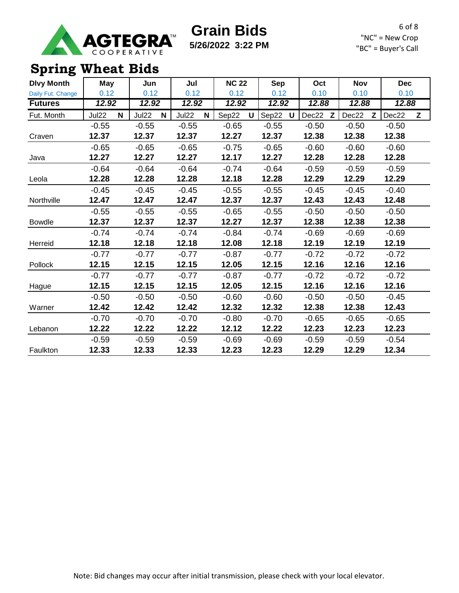

**5/26/2022 3:22 PM**

6 of 8 "NC" = New Crop "BC" = Buyer's Call

## **Spring Wheat Bids**

| <b>Dlvy Month</b> | May        | Jun        | Jul        | <b>NC 22</b> | <b>Sep</b> | Oct        | <b>Nov</b> | <b>Dec</b> |
|-------------------|------------|------------|------------|--------------|------------|------------|------------|------------|
| Daily Fut. Change | 0.12       | 0.12       | 0.12       | 0.12         | 0.12       | 0.10       | 0.10       | 0.10       |
| <b>Futures</b>    | 12.92      | 12.92      | 12.92      | 12.92        | 12.92      | 12.88      | 12.88      | 12.88      |
| Fut. Month        | Jul22<br>N | Jul22<br>N | Jul22<br>N | Sep22<br>U   | Sep22<br>U | Dec22<br>Z | Dec22<br>Z | Dec22<br>Z |
|                   | $-0.55$    | $-0.55$    | $-0.55$    | $-0.65$      | $-0.55$    | $-0.50$    | $-0.50$    | $-0.50$    |
| Craven            | 12.37      | 12.37      | 12.37      | 12.27        | 12.37      | 12.38      | 12.38      | 12.38      |
|                   | $-0.65$    | $-0.65$    | $-0.65$    | $-0.75$      | $-0.65$    | $-0.60$    | $-0.60$    | $-0.60$    |
| Java              | 12.27      | 12.27      | 12.27      | 12.17        | 12.27      | 12.28      | 12.28      | 12.28      |
|                   | $-0.64$    | $-0.64$    | $-0.64$    | $-0.74$      | $-0.64$    | $-0.59$    | $-0.59$    | $-0.59$    |
| Leola             | 12.28      | 12.28      | 12.28      | 12.18        | 12.28      | 12.29      | 12.29      | 12.29      |
|                   | $-0.45$    | $-0.45$    | $-0.45$    | $-0.55$      | $-0.55$    | $-0.45$    | $-0.45$    | $-0.40$    |
| Northville        | 12.47      | 12.47      | 12.47      | 12.37        | 12.37      | 12.43      | 12.43      | 12.48      |
|                   | $-0.55$    | $-0.55$    | $-0.55$    | $-0.65$      | $-0.55$    | $-0.50$    | $-0.50$    | $-0.50$    |
| <b>Bowdle</b>     | 12.37      | 12.37      | 12.37      | 12.27        | 12.37      | 12.38      | 12.38      | 12.38      |
|                   | $-0.74$    | $-0.74$    | $-0.74$    | $-0.84$      | $-0.74$    | $-0.69$    | $-0.69$    | $-0.69$    |
| Herreid           | 12.18      | 12.18      | 12.18      | 12.08        | 12.18      | 12.19      | 12.19      | 12.19      |
|                   | $-0.77$    | $-0.77$    | $-0.77$    | $-0.87$      | $-0.77$    | $-0.72$    | $-0.72$    | $-0.72$    |
| Pollock           | 12.15      | 12.15      | 12.15      | 12.05        | 12.15      | 12.16      | 12.16      | 12.16      |
|                   | $-0.77$    | $-0.77$    | $-0.77$    | $-0.87$      | $-0.77$    | $-0.72$    | $-0.72$    | $-0.72$    |
| Hague             | 12.15      | 12.15      | 12.15      | 12.05        | 12.15      | 12.16      | 12.16      | 12.16      |
|                   | $-0.50$    | $-0.50$    | $-0.50$    | $-0.60$      | $-0.60$    | $-0.50$    | $-0.50$    | $-0.45$    |
| Warner            | 12.42      | 12.42      | 12.42      | 12.32        | 12.32      | 12.38      | 12.38      | 12.43      |
|                   | $-0.70$    | $-0.70$    | $-0.70$    | $-0.80$      | $-0.70$    | $-0.65$    | $-0.65$    | $-0.65$    |
| Lebanon           | 12.22      | 12.22      | 12.22      | 12.12        | 12.22      | 12.23      | 12.23      | 12.23      |
|                   | $-0.59$    | $-0.59$    | $-0.59$    | $-0.69$      | $-0.69$    | $-0.59$    | $-0.59$    | $-0.54$    |
| Faulkton          | 12.33      | 12.33      | 12.33      | 12.23        | 12.23      | 12.29      | 12.29      | 12.34      |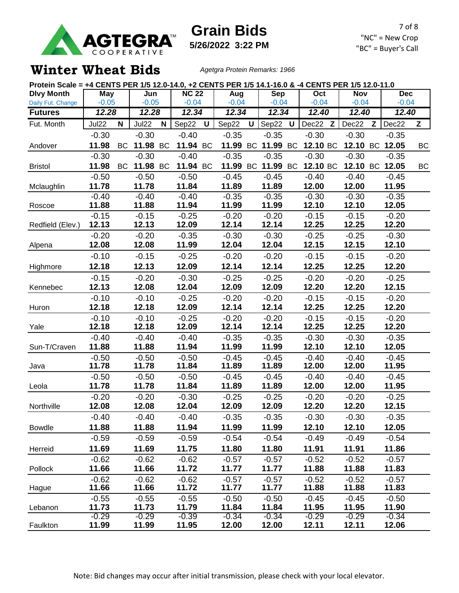

**5/26/2022 3:22 PM**

7 of 8 "NC" = New Crop "BC" = Buyer's Call

### **Winter Wheat Bids** *Agetgra Protein Remarks: 1966*

| Protein Scale = +4 CENTS PER 1/5 12.0-14.0, +2 CENTS PER 1/5 14.1-16.0 & -4 CENTS PER 1/5 12.0-11.0 |                  |           |                  |   |                  |   |                  |   |                   |  |                  |              |                  |   |                  |    |
|-----------------------------------------------------------------------------------------------------|------------------|-----------|------------------|---|------------------|---|------------------|---|-------------------|--|------------------|--------------|------------------|---|------------------|----|
| <b>Dlvy Month</b>                                                                                   | May              |           | Jun              |   | <b>NC 22</b>     |   | Aug              |   | <b>Sep</b>        |  | Oct              |              | <b>Nov</b>       |   | <b>Dec</b>       |    |
| Daily Fut. Change                                                                                   | $-0.05$          |           | $-0.05$          |   | $-0.04$          |   | $-0.04$          |   | $-0.04$           |  | $-0.04$          |              | $-0.04$          |   | $-0.04$          |    |
| <b>Futures</b>                                                                                      | 12.28            |           | 12.28            |   | 12.34            |   | 12.34            |   | 12.34             |  | 12.40            |              | 12.40            |   | 12.40            |    |
| Fut. Month                                                                                          | Jul22            | N         | Jul22            | N | Sep22            | U | Sep22            | U | Sep22 U           |  | Dec22            | $\mathsf{Z}$ | Dec22            | Z | Dec22            | Z  |
|                                                                                                     | $-0.30$          |           | $-0.30$          |   | $-0.40$          |   | $-0.35$          |   | $-0.35$           |  | $-0.30$          |              | $-0.30$          |   | $-0.35$          |    |
| Andover                                                                                             | 11.98            | BC.       | 11.98 BC         |   | 11.94 BC         |   | 11.99            |   | BC 11.99 BC       |  | 12.10 BC         |              |                  |   | 12.10 BC 12.05   | ВC |
|                                                                                                     | $-0.30$          |           | $-0.30$          |   | $-0.40$          |   | $-0.35$          |   | $-0.35$           |  | $-0.30$          |              | $-0.30$          |   | $-0.35$          |    |
| <b>Bristol</b>                                                                                      | 11.98            | <b>BC</b> | 11.98 BC         |   | 11.94 BC         |   |                  |   | 11.99 BC 11.99 BC |  | 12.10 BC         |              |                  |   | 12.10 BC 12.05   | BC |
|                                                                                                     | $-0.50$          |           | $-0.50$          |   | $-0.50$          |   | $-0.45$          |   | $-0.45$           |  | $-0.40$          |              | $-0.40$          |   | $-0.45$          |    |
| Mclaughlin                                                                                          | 11.78            |           | 11.78            |   | 11.84            |   | 11.89            |   | 11.89             |  | 12.00            |              | 12.00            |   | 11.95            |    |
|                                                                                                     | $-0.40$          |           | $-0.40$          |   | $-0.40$          |   | $-0.35$          |   | $-0.35$           |  | $-0.30$          |              | $-0.30$          |   | $-0.35$          |    |
| Roscoe                                                                                              | 11.88            |           | 11.88            |   | 11.94            |   | 11.99            |   | 11.99             |  | 12.10            |              | 12.10            |   | 12.05            |    |
|                                                                                                     | $-0.15$          |           | $-0.15$          |   | $-0.25$          |   | $-0.20$          |   | $-0.20$           |  | $-0.15$          |              | $-0.15$          |   | $-0.20$          |    |
| Redfield (Elev.)                                                                                    | 12.13            |           | 12.13            |   | 12.09            |   | 12.14            |   | 12.14             |  | 12.25            |              | 12.25            |   | 12.20            |    |
|                                                                                                     | $-0.20$<br>12.08 |           | $-0.20$<br>12.08 |   | $-0.35$<br>11.99 |   | $-0.30$<br>12.04 |   | $-0.30$<br>12.04  |  | $-0.25$<br>12.15 |              | $-0.25$<br>12.15 |   | $-0.30$<br>12.10 |    |
| Alpena                                                                                              |                  |           |                  |   |                  |   |                  |   |                   |  |                  |              |                  |   |                  |    |
|                                                                                                     | $-0.10$          |           | $-0.15$          |   | $-0.25$          |   | $-0.20$          |   | $-0.20$           |  | $-0.15$          |              | $-0.15$          |   | $-0.20$          |    |
| Highmore                                                                                            | 12.18            |           | 12.13            |   | 12.09            |   | 12.14            |   | 12.14             |  | 12.25            |              | 12.25            |   | 12.20            |    |
|                                                                                                     | $-0.15$          |           | $-0.20$          |   | $-0.30$          |   | $-0.25$          |   | $-0.25$           |  | $-0.20$          |              | $-0.20$          |   | $-0.25$          |    |
| Kennebec                                                                                            | 12.13            |           | 12.08            |   | 12.04            |   | 12.09            |   | 12.09             |  | 12.20            |              | 12.20            |   | 12.15            |    |
|                                                                                                     | $-0.10$          |           | $-0.10$          |   | $-0.25$          |   | $-0.20$          |   | $-0.20$           |  | $-0.15$          |              | $-0.15$          |   | $-0.20$          |    |
| Huron                                                                                               | 12.18            |           | 12.18            |   | 12.09            |   | 12.14            |   | 12.14             |  | 12.25            |              | 12.25            |   | 12.20            |    |
| Yale                                                                                                | $-0.10$<br>12.18 |           | $-0.10$<br>12.18 |   | $-0.25$<br>12.09 |   | $-0.20$<br>12.14 |   | $-0.20$<br>12.14  |  | $-0.15$<br>12.25 |              | $-0.15$<br>12.25 |   | $-0.20$<br>12.20 |    |
|                                                                                                     | $-0.40$          |           | $-0.40$          |   | $-0.40$          |   | $-0.35$          |   | $-0.35$           |  | $-0.30$          |              | $-0.30$          |   | $-0.35$          |    |
| Sun-T/Craven                                                                                        | 11.88            |           | 11.88            |   | 11.94            |   | 11.99            |   | 11.99             |  | 12.10            |              | 12.10            |   | 12.05            |    |
|                                                                                                     | $-0.50$          |           | $-0.50$          |   | $-0.50$          |   | $-0.45$          |   | $-0.45$           |  | $-0.40$          |              | $-0.40$          |   | $-0.45$          |    |
| Java                                                                                                | 11.78            |           | 11.78            |   | 11.84            |   | 11.89            |   | 11.89             |  | 12.00            |              | 12.00            |   | 11.95            |    |
|                                                                                                     | $-0.50$          |           | $-0.50$          |   | $-0.50$          |   | $-0.45$          |   | $-0.45$           |  | $-0.40$          |              | $-0.40$          |   | $-0.45$          |    |
| Leola                                                                                               | 11.78            |           | 11.78            |   | 11.84            |   | 11.89            |   | 11.89             |  | 12.00            |              | 12.00            |   | 11.95            |    |
|                                                                                                     | $-0.20$          |           | $-0.20$          |   | $-0.30$          |   | $-0.25$          |   | $-0.25$           |  | $-0.20$          |              | $-0.20$          |   | $-0.25$          |    |
| Northville                                                                                          | 12.08            |           | 12.08            |   | 12.04            |   | 12.09            |   | 12.09             |  | 12.20            |              | 12.20            |   | 12.15            |    |
|                                                                                                     | $-0.40$          |           | $-0.40$          |   | $-0.40$          |   | $-0.35$          |   | $-0.35$           |  | $-0.30$          |              | $-0.30$          |   | $-0.35$          |    |
| <b>Bowdle</b>                                                                                       | 11.88            |           | 11.88            |   | 11.94            |   | 11.99            |   | 11.99             |  | 12.10            |              | 12.10            |   | 12.05            |    |
|                                                                                                     | $-0.59$          |           | $-0.59$          |   | $-0.59$          |   | $-0.54$          |   | $-0.54$           |  | $-0.49$          |              | $-0.49$          |   | $-0.54$          |    |
| Herreid                                                                                             | 11.69            |           | 11.69            |   | 11.75            |   | 11.80            |   | 11.80             |  | 11.91            |              | 11.91            |   | 11.86            |    |
|                                                                                                     | $-0.62$          |           | $-0.62$          |   | $-0.62$          |   | $-0.57$          |   | $-0.57$           |  | $-0.52$          |              | $-0.52$          |   | $-0.57$          |    |
| Pollock                                                                                             | 11.66            |           | 11.66            |   | 11.72            |   | 11.77            |   | 11.77             |  | 11.88            |              | 11.88            |   | 11.83            |    |
|                                                                                                     | $-0.62$          |           | $-0.62$          |   | $-0.62$          |   | $-0.57$          |   | $-0.57$           |  | $-0.52$          |              | $-0.52$          |   | $-0.57$          |    |
| Hague                                                                                               | 11.66            |           | 11.66            |   | 11.72            |   | 11.77            |   | 11.77             |  | 11.88            |              | 11.88            |   | 11.83            |    |
|                                                                                                     | $-0.55$          |           | $-0.55$          |   | $-0.55$          |   | $-0.50$          |   | $-0.50$           |  | $-0.45$          |              | $-0.45$          |   | $-0.50$          |    |
| Lebanon                                                                                             | 11.73<br>$-0.29$ |           | 11.73<br>$-0.29$ |   | 11.79<br>$-0.39$ |   | 11.84<br>$-0.34$ |   | 11.84<br>$-0.34$  |  | 11.95<br>$-0.29$ |              | 11.95<br>$-0.29$ |   | 11.90<br>$-0.34$ |    |
| Faulkton                                                                                            | 11.99            |           | 11.99            |   | 11.95            |   | 12.00            |   | 12.00             |  | 12.11            |              | 12.11            |   | 12.06            |    |